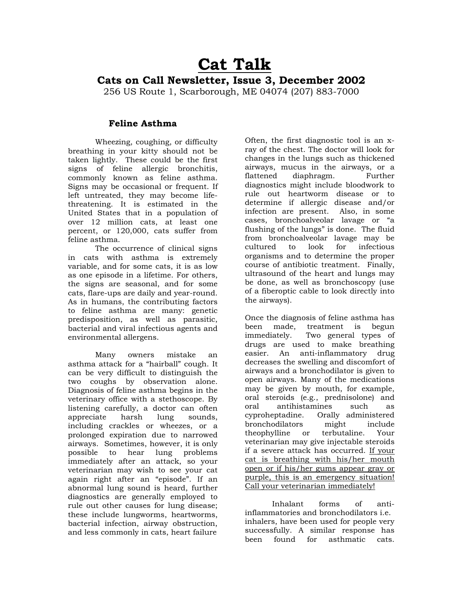## **Cat Talk**

## **Cats on Call Newsletter, Issue 3, December 2002**

256 US Route 1, Scarborough, ME 04074 (207) 883-7000

## **Feline Asthma**

Wheezing, coughing, or difficulty breathing in your kitty should not be taken lightly. These could be the first signs of feline allergic bronchitis, commonly known as feline asthma. Signs may be occasional or frequent. If left untreated, they may become lifethreatening. It is estimated in the United States that in a population of over 12 million cats, at least one percent, or 120,000, cats suffer from feline asthma.

The occurrence of clinical signs in cats with asthma is extremely variable, and for some cats, it is as low as one episode in a lifetime. For others, the signs are seasonal, and for some cats, flare-ups are daily and year-round. As in humans, the contributing factors to feline asthma are many: genetic predisposition, as well as parasitic, bacterial and viral infectious agents and environmental allergens.

Many owners mistake an asthma attack for a "hairball" cough. It can be very difficult to distinguish the two coughs by observation alone. Diagnosis of feline asthma begins in the veterinary office with a stethoscope. By listening carefully, a doctor can often appreciate harsh lung sounds, including crackles or wheezes, or a prolonged expiration due to narrowed airways. Sometimes, however, it is only possible to hear lung problems immediately after an attack, so your veterinarian may wish to see your cat again right after an "episode". If an abnormal lung sound is heard, further diagnostics are generally employed to rule out other causes for lung disease; these include lungworms, heartworms, bacterial infection, airway obstruction, and less commonly in cats, heart failure

Often, the first diagnostic tool is an xray of the chest. The doctor will look for changes in the lungs such as thickened airways, mucus in the airways, or a flattened diaphragm. Further diagnostics might include bloodwork to rule out heartworm disease or to determine if allergic disease and/or infection are present. Also, in some cases, bronchoalveolar lavage or "a flushing of the lungs" is done. The fluid from bronchoalveolar lavage may be cultured to look for infectious organisms and to determine the proper course of antibiotic treatment. Finally, ultrasound of the heart and lungs may be done, as well as bronchoscopy (use of a fiberoptic cable to look directly into the airways).

Once the diagnosis of feline asthma has been made, treatment is begun immediately. Two general types of drugs are used to make breathing easier. An anti-inflammatory drug decreases the swelling and discomfort of airways and a bronchodilator is given to open airways. Many of the medications may be given by mouth, for example, oral steroids (e.g., prednisolone) and oral antihistamines such as cyproheptadine. Orally administered bronchodilators might include theophylline or terbutaline. Your veterinarian may give injectable steroids if a severe attack has occurred. If your cat is breathing with his/her mouth open or if his/her gums appear gray or purple, this is an emergency situation! Call your veterinarian immediately!

Inhalant forms of antiinflammatories and bronchodilators i.e. inhalers, have been used for people very successfully. A similar response has been found for asthmatic cats.